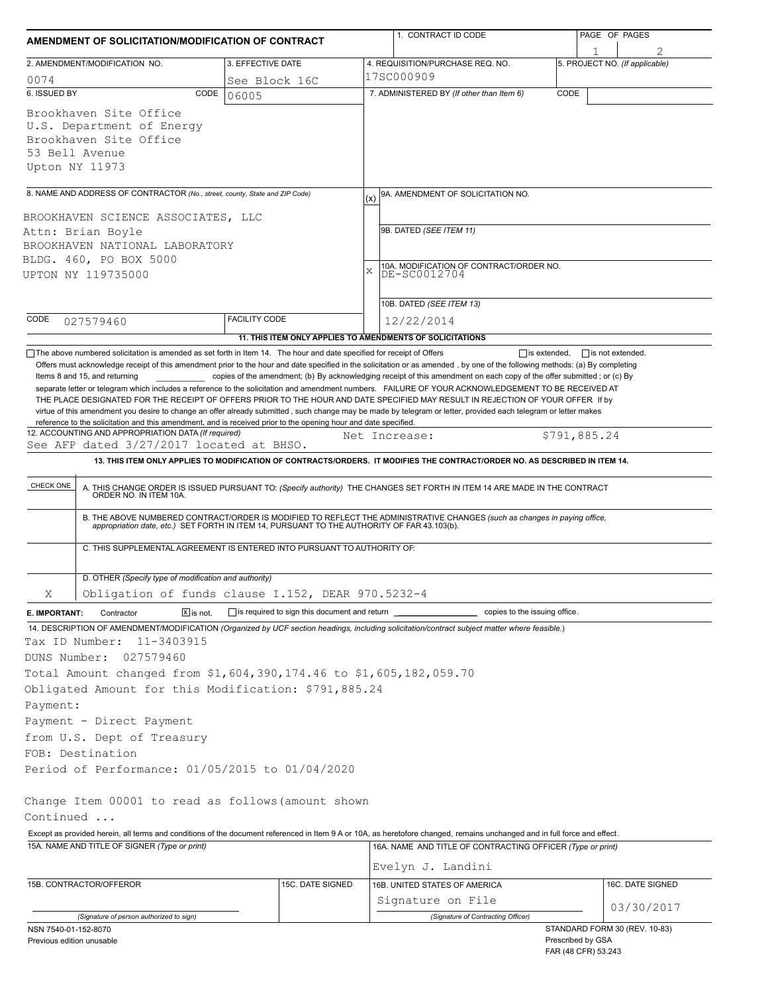| AMENDMENT OF SOLICITATION/MODIFICATION OF CONTRACT                                                                                                                                                                                                                                |                          |                                                                                                                     | 1. CONTRACT ID CODE                                                                                                                                                                                                                                                                                                                                                                                                                                                        | PAGE OF PAGES                  |  |  |
|-----------------------------------------------------------------------------------------------------------------------------------------------------------------------------------------------------------------------------------------------------------------------------------|--------------------------|---------------------------------------------------------------------------------------------------------------------|----------------------------------------------------------------------------------------------------------------------------------------------------------------------------------------------------------------------------------------------------------------------------------------------------------------------------------------------------------------------------------------------------------------------------------------------------------------------------|--------------------------------|--|--|
| 2. AMENDMENT/MODIFICATION NO.                                                                                                                                                                                                                                                     |                          | 3. EFFECTIVE DATE                                                                                                   | 4. REQUISITION/PURCHASE REQ. NO.                                                                                                                                                                                                                                                                                                                                                                                                                                           | 5. PROJECT NO. (If applicable) |  |  |
| 0074                                                                                                                                                                                                                                                                              |                          | See Block 16C                                                                                                       | 17SC000909                                                                                                                                                                                                                                                                                                                                                                                                                                                                 |                                |  |  |
| 6. ISSUED BY                                                                                                                                                                                                                                                                      | CODE<br>06005            |                                                                                                                     | 7. ADMINISTERED BY (If other than Item 6)                                                                                                                                                                                                                                                                                                                                                                                                                                  | CODE                           |  |  |
| Brookhaven Site Office<br>U.S. Department of Energy<br>Brookhaven Site Office<br>53 Bell Avenue<br>Upton NY 11973                                                                                                                                                                 |                          |                                                                                                                     |                                                                                                                                                                                                                                                                                                                                                                                                                                                                            |                                |  |  |
| 8. NAME AND ADDRESS OF CONTRACTOR (No., street, county, State and ZIP Code)                                                                                                                                                                                                       |                          |                                                                                                                     | 9A. AMENDMENT OF SOLICITATION NO.<br>(x)                                                                                                                                                                                                                                                                                                                                                                                                                                   |                                |  |  |
| BROOKHAVEN SCIENCE ASSOCIATES, LLC<br>Attn: Brian Boyle<br>BROOKHAVEN NATIONAL LABORATORY<br>BLDG. 460, PO BOX 5000<br>UPTON NY 119735000                                                                                                                                         |                          | 9B. DATED (SEE ITEM 11)<br>10A. MODIFICATION OF CONTRACT/ORDER NO.<br>DE-SC0012704<br>X<br>10B. DATED (SEE ITEM 13) |                                                                                                                                                                                                                                                                                                                                                                                                                                                                            |                                |  |  |
| CODE<br>027579460                                                                                                                                                                                                                                                                 | <b>FACILITY CODE</b>     |                                                                                                                     | 12/22/2014                                                                                                                                                                                                                                                                                                                                                                                                                                                                 |                                |  |  |
|                                                                                                                                                                                                                                                                                   |                          | 11. THIS ITEM ONLY APPLIES TO AMENDMENTS OF SOLICITATIONS                                                           |                                                                                                                                                                                                                                                                                                                                                                                                                                                                            |                                |  |  |
| reference to the solicitation and this amendment, and is received prior to the opening hour and date specified.<br>12. ACCOUNTING AND APPROPRIATION DATA (If required)                                                                                                            |                          |                                                                                                                     | separate letter or telegram which includes a reference to the solicitation and amendment numbers. FAILURE OF YOUR ACKNOWLEDGEMENT TO BE RECEIVED AT<br>THE PLACE DESIGNATED FOR THE RECEIPT OF OFFERS PRIOR TO THE HOUR AND DATE SPECIFIED MAY RESULT IN REJECTION OF YOUR OFFER If by<br>virtue of this amendment you desire to change an offer already submitted, such change may be made by telegram or letter, provided each telegram or letter makes<br>Net Increase: | \$791,885.24                   |  |  |
| See AFP dated 3/27/2017 located at BHSO.                                                                                                                                                                                                                                          |                          |                                                                                                                     |                                                                                                                                                                                                                                                                                                                                                                                                                                                                            |                                |  |  |
|                                                                                                                                                                                                                                                                                   |                          |                                                                                                                     | 13. THIS ITEM ONLY APPLIES TO MODIFICATION OF CONTRACTS/ORDERS. IT MODIFIES THE CONTRACT/ORDER NO. AS DESCRIBED IN ITEM 14.                                                                                                                                                                                                                                                                                                                                                |                                |  |  |
| CHECK ONE<br>C. THIS SUPPLEMENTAL AGREEMENT IS ENTERED INTO PURSUANT TO AUTHORITY OF:                                                                                                                                                                                             |                          |                                                                                                                     | A. THIS CHANGE ORDER IS ISSUED PURSUANT TO: (Specify authority) THE CHANGES SET FORTH IN ITEM 14 ARE MADE IN THE CONTRACT ORDER NO. IN ITEM 10A.<br>B. THE ABOVE NUMBERED CONTRACT/ORDER IS MODIFIED TO REFLECT THE ADMINISTRATIVE CHANGES (such as changes in paying office,<br>appropriation date, etc.) SET FORTH IN ITEM 14, PURSUANT TO THE AUTHORITY OF FAR 43.103(b).                                                                                               |                                |  |  |
| D. OTHER (Specify type of modification and authority)                                                                                                                                                                                                                             |                          |                                                                                                                     |                                                                                                                                                                                                                                                                                                                                                                                                                                                                            |                                |  |  |
| Obligation of funds clause I.152, DEAR 970.5232-4<br>Χ                                                                                                                                                                                                                            |                          |                                                                                                                     |                                                                                                                                                                                                                                                                                                                                                                                                                                                                            |                                |  |  |
| E. IMPORTANT:<br>Contractor                                                                                                                                                                                                                                                       | $ \overline{x} $ is not. |                                                                                                                     |                                                                                                                                                                                                                                                                                                                                                                                                                                                                            |                                |  |  |
| Tax ID Number:<br>11-3403915<br>027579460<br>DUNS Number:<br>Total Amount changed from \$1,604,390,174.46 to \$1,605,182,059.70<br>Obligated Amount for this Modification: \$791,885.24<br>Payment:<br>Payment - Direct Payment<br>from U.S. Dept of Treasury<br>FOB: Destination |                          |                                                                                                                     | 14. DESCRIPTION OF AMENDMENT/MODIFICATION (Organized by UCF section headings, including solicitation/contract subject matter where feasible.)                                                                                                                                                                                                                                                                                                                              |                                |  |  |
| Period of Performance: 01/05/2015 to 01/04/2020                                                                                                                                                                                                                                   |                          |                                                                                                                     |                                                                                                                                                                                                                                                                                                                                                                                                                                                                            |                                |  |  |
| Change Item 00001 to read as follows (amount shown<br>Continued<br>15A. NAME AND TITLE OF SIGNER (Type or print)                                                                                                                                                                  |                          |                                                                                                                     | Except as provided herein, all terms and conditions of the document referenced in Item 9 A or 10A, as heretofore changed, remains unchanged and in full force and effect.<br>16A. NAME AND TITLE OF CONTRACTING OFFICER (Type or print)<br>Evelyn J. Landini                                                                                                                                                                                                               |                                |  |  |
|                                                                                                                                                                                                                                                                                   |                          |                                                                                                                     |                                                                                                                                                                                                                                                                                                                                                                                                                                                                            |                                |  |  |
| 15B. CONTRACTOR/OFFEROR                                                                                                                                                                                                                                                           |                          | 15C. DATE SIGNED                                                                                                    | 16B. UNITED STATES OF AMERICA                                                                                                                                                                                                                                                                                                                                                                                                                                              | 16C. DATE SIGNED               |  |  |
|                                                                                                                                                                                                                                                                                   |                          |                                                                                                                     | Signature on File                                                                                                                                                                                                                                                                                                                                                                                                                                                          | 03/30/2017                     |  |  |
| (Signature of person authorized to sign)<br>NSN 7540-01-152-8070                                                                                                                                                                                                                  |                          |                                                                                                                     | (Signature of Contracting Officer)                                                                                                                                                                                                                                                                                                                                                                                                                                         | STANDARD FORM 30 (REV. 10-83)  |  |  |
| Previous edition unusable                                                                                                                                                                                                                                                         |                          |                                                                                                                     | Prescribed by GSA                                                                                                                                                                                                                                                                                                                                                                                                                                                          |                                |  |  |